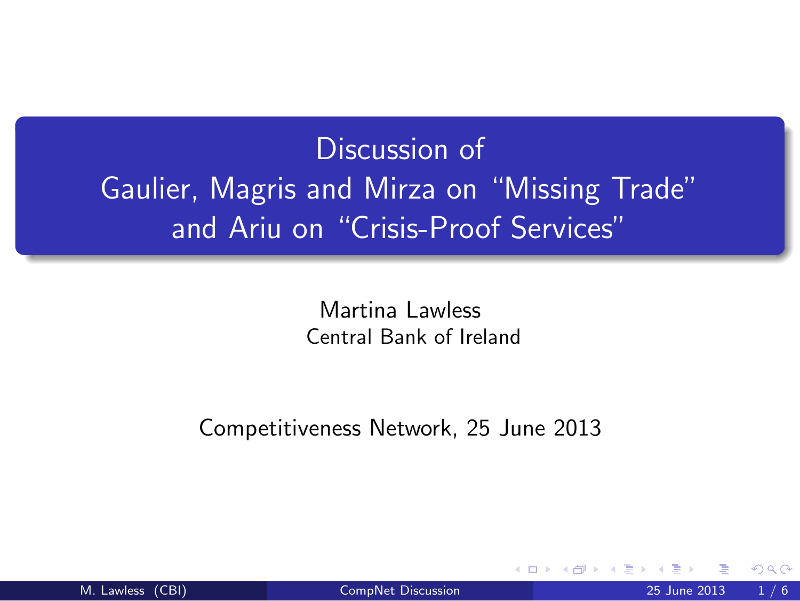## Discussion of Gaulier, Magris and Mirza on "Missing Trade" and Ariu on "Crisis-Proof Services"

<span id="page-0-0"></span>Martina Lawless Central Bank of Ireland

Competitiveness Network, 25 June 2013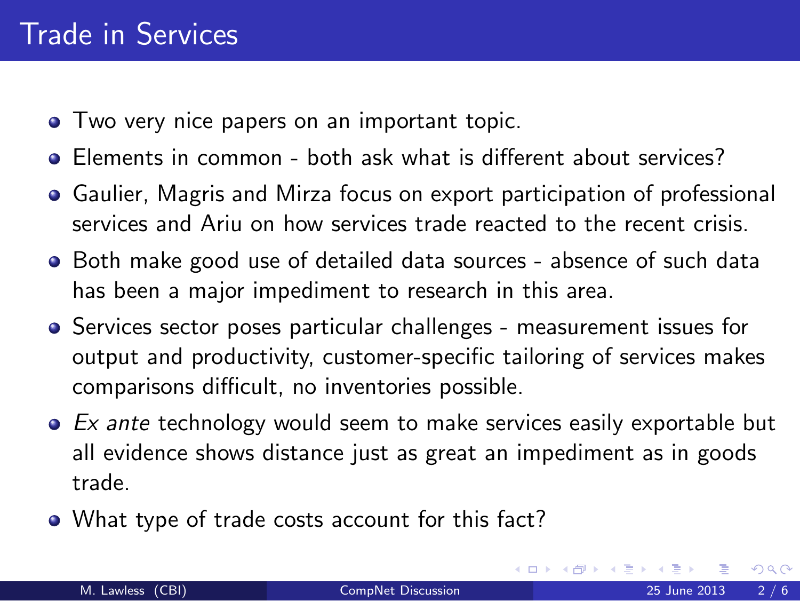- **•** Two very nice papers on an important topic.
- Elements in common both ask what is different about services?
- Gaulier, Magris and Mirza focus on export participation of professional services and Ariu on how services trade reacted to the recent crisis.
- Both make good use of detailed data sources absence of such data has been a major impediment to research in this area.
- Services sector poses particular challenges measurement issues for output and productivity, customer-specific tailoring of services makes comparisons difficult, no inventories possible.
- $\bullet$  Ex ante technology would seem to make services easily exportable but all evidence shows distance just as great an impediment as in goods trade.
- What type of trade costs account for this fact?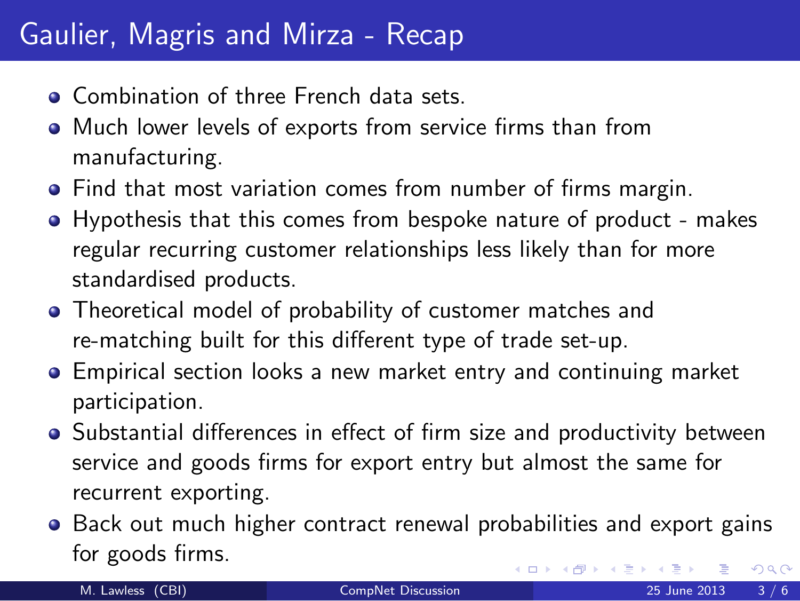## Gaulier, Magris and Mirza - Recap

- **Combination of three French data sets.**
- Much lower levels of exports from service firms than from manufacturing.
- Find that most variation comes from number of firms margin.
- Hypothesis that this comes from bespoke nature of product makes regular recurring customer relationships less likely than for more standardised products.
- Theoretical model of probability of customer matches and re-matching built for this different type of trade set-up.
- Empirical section looks a new market entry and continuing market participation.
- Substantial differences in effect of firm size and productivity between service and goods firms for export entry but almost the same for recurrent exporting.
- Back out much higher contract renewal probabilities and export gains for goods firms.  $\Omega$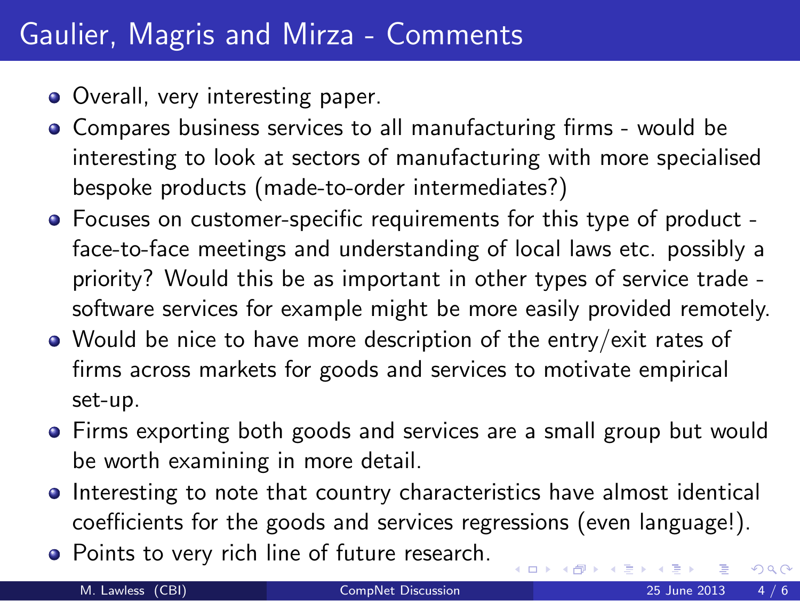## Gaulier, Magris and Mirza - Comments

- Overall, very interesting paper.
- Compares business services to all manufacturing firms would be interesting to look at sectors of manufacturing with more specialised bespoke products (made-to-order intermediates?)
- Focuses on customer-specific requirements for this type of product face-to-face meetings and understanding of local laws etc. possibly a priority? Would this be as important in other types of service trade software services for example might be more easily provided remotely.
- Would be nice to have more description of the entry/exit rates of firms across markets for goods and services to motivate empirical set-up.
- Firms exporting both goods and services are a small group but would be worth examining in more detail.
- Interesting to note that country characteristics have almost identical coefficients for the goods and services regressions (even language!).

 $\leftarrow$   $\Box$ 

• Points to very rich line of future research.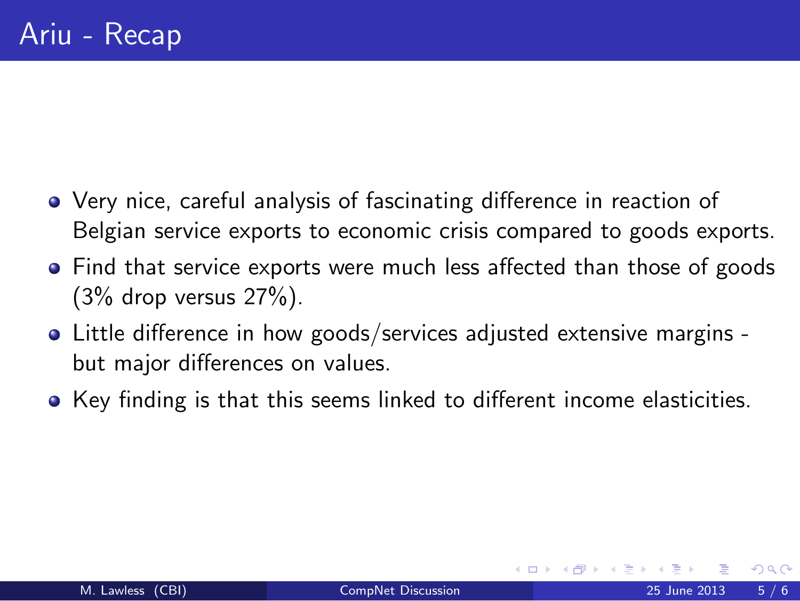- Very nice, careful analysis of fascinating difference in reaction of Belgian service exports to economic crisis compared to goods exports.
- Find that service exports were much less affected than those of goods  $(3\%$  drop versus  $27\%$ ).
- Little difference in how goods/services adjusted extensive margins but major differences on values.
- <span id="page-4-0"></span>Key finding is that this seems linked to different income elasticities.